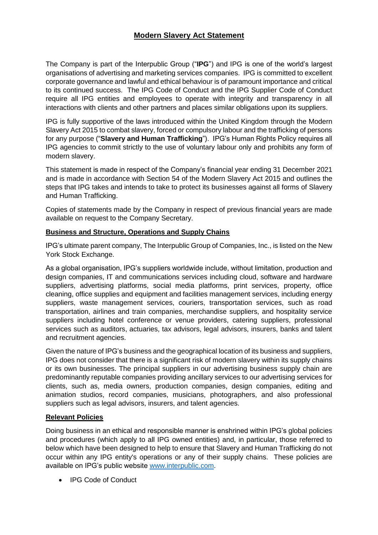# **Modern Slavery Act Statement**

The Company is part of the Interpublic Group ("**IPG**") and IPG is one of the world's largest organisations of advertising and marketing services companies. IPG is committed to excellent corporate governance and lawful and ethical behaviour is of paramount importance and critical to its continued success. The IPG Code of Conduct and the IPG Supplier Code of Conduct require all IPG entities and employees to operate with integrity and transparency in all interactions with clients and other partners and places similar obligations upon its suppliers.

IPG is fully supportive of the laws introduced within the United Kingdom through the Modern Slavery Act 2015 to combat slavery, forced or compulsory labour and the trafficking of persons for any purpose ("**Slavery and Human Trafficking**"). IPG's Human Rights Policy requires all IPG agencies to commit strictly to the use of voluntary labour only and prohibits any form of modern slavery.

This statement is made in respect of the Company's financial year ending 31 December 2021 and is made in accordance with Section 54 of the Modern Slavery Act 2015 and outlines the steps that IPG takes and intends to take to protect its businesses against all forms of Slavery and Human Trafficking.

Copies of statements made by the Company in respect of previous financial years are made available on request to the Company Secretary.

### **Business and Structure, Operations and Supply Chains**

IPG's ultimate parent company, The Interpublic Group of Companies, Inc., is listed on the New York Stock Exchange.

As a global organisation, IPG's suppliers worldwide include, without limitation, production and design companies, IT and communications services including cloud, software and hardware suppliers, advertising platforms, social media platforms, print services, property, office cleaning, office supplies and equipment and facilities management services, including energy suppliers, waste management services, couriers, transportation services, such as road transportation, airlines and train companies, merchandise suppliers, and hospitality service suppliers including hotel conference or venue providers, catering suppliers, professional services such as auditors, actuaries, tax advisors, legal advisors, insurers, banks and talent and recruitment agencies.

Given the nature of IPG's business and the geographical location of its business and suppliers, IPG does not consider that there is a significant risk of modern slavery within its supply chains or its own businesses. The principal suppliers in our advertising business supply chain are predominantly reputable companies providing ancillary services to our advertising services for clients, such as, media owners, production companies, design companies, editing and animation studios, record companies, musicians, photographers, and also professional suppliers such as legal advisors, insurers, and talent agencies.

## **Relevant Policies**

Doing business in an ethical and responsible manner is enshrined within IPG's global policies and procedures (which apply to all IPG owned entities) and, in particular, those referred to below which have been designed to help to ensure that Slavery and Human Trafficking do not occur within any IPG entity's operations or any of their supply chains. These policies are available on IPG's public website [www.interpublic.com.](http://www.interpublic.com/)

• IPG Code of Conduct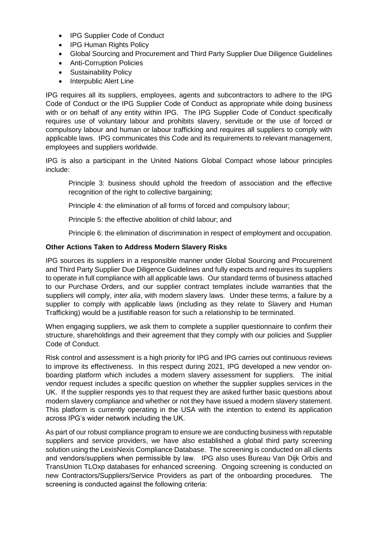- IPG Supplier Code of Conduct
- IPG Human Rights Policy
- Global Sourcing and Procurement and Third Party Supplier Due Diligence Guidelines
- Anti-Corruption Policies
- Sustainability Policy
- Interpublic Alert Line

IPG requires all its suppliers, employees, agents and subcontractors to adhere to the IPG Code of Conduct or the IPG Supplier Code of Conduct as appropriate while doing business with or on behalf of any entity within IPG. The IPG Supplier Code of Conduct specifically requires use of voluntary labour and prohibits slavery, servitude or the use of forced or compulsory labour and human or labour trafficking and requires all suppliers to comply with applicable laws. IPG communicates this Code and its requirements to relevant management, employees and suppliers worldwide.

IPG is also a participant in the United Nations Global Compact whose labour principles include:

Principle 3: business should uphold the freedom of association and the effective recognition of the right to collective bargaining;

Principle 4: the elimination of all forms of forced and compulsory labour;

Principle 5: the effective abolition of child labour; and

Principle 6: the elimination of discrimination in respect of employment and occupation.

### **Other Actions Taken to Address Modern Slavery Risks**

IPG sources its suppliers in a responsible manner under Global Sourcing and Procurement and Third Party Supplier Due Diligence Guidelines and fully expects and requires its suppliers to operate in full compliance with all applicable laws. Our standard terms of business attached to our Purchase Orders, and our supplier contract templates include warranties that the suppliers will comply, *inter alia*, with modern slavery laws. Under these terms, a failure by a supplier to comply with applicable laws (including as they relate to Slavery and Human Trafficking) would be a justifiable reason for such a relationship to be terminated.

When engaging suppliers, we ask them to complete a supplier questionnaire to confirm their structure, shareholdings and their agreement that they comply with our policies and Supplier Code of Conduct.

Risk control and assessment is a high priority for IPG and IPG carries out continuous reviews to improve its effectiveness. In this respect during 2021, IPG developed a new vendor onboarding platform which includes a modern slavery assessment for suppliers. The initial vendor request includes a specific question on whether the supplier supplies services in the UK. If the supplier responds yes to that request they are asked further basic questions about modern slavery compliance and whether or not they have issued a modern slavery statement. This platform is currently operating in the USA with the intention to extend its application across IPG's wider network including the UK.

As part of our robust compliance program to ensure we are conducting business with reputable suppliers and service providers, we have also established a global third party screening solution using the LexisNexis Compliance Database. The screening is conducted on all clients and vendors/suppliers when permissible by law.  IPG also uses Bureau Van Dijk Orbis and TransUnion TLOxp databases for enhanced screening. Ongoing screening is conducted on new Contractors/Suppliers/Service Providers as part of the onboarding procedures.  The screening is conducted against the following criteria: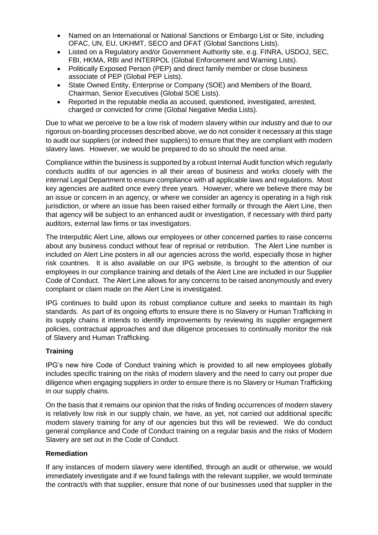- Named on an International or National Sanctions or Embargo List or Site, including OFAC, UN, EU, UKHMT, SECO and DFAT (Global Sanctions Lists).
- Listed on a Regulatory and/or Government Authority site, e.g. FINRA, USDOJ, SEC, FBI, HKMA, RBI and INTERPOL (Global Enforcement and Warning Lists).
- Politically Exposed Person (PEP) and direct family member or close business associate of PEP (Global PEP Lists).
- State Owned Entity, Enterprise or Company (SOE) and Members of the Board, Chairman, Senior Executives (Global SOE Lists).
- Reported in the reputable media as accused, questioned, investigated, arrested, charged or convicted for crime (Global Negative Media Lists).

Due to what we perceive to be a low risk of modern slavery within our industry and due to our rigorous on-boarding processes described above, we do not consider it necessary at this stage to audit our suppliers (or indeed their suppliers) to ensure that they are compliant with modern slavery laws. However, we would be prepared to do so should the need arise.

Compliance within the business is supported by a robust Internal Audit function which regularly conducts audits of our agencies in all their areas of business and works closely with the internal Legal Department to ensure compliance with all applicable laws and regulations. Most key agencies are audited once every three years. However, where we believe there may be an issue or concern in an agency, or where we consider an agency is operating in a high risk jurisdiction, or where an issue has been raised either formally or through the Alert Line, then that agency will be subject to an enhanced audit or investigation, if necessary with third party auditors, external law firms or tax investigators.

The Interpublic Alert Line, allows our employees or other concerned parties to raise concerns about any business conduct without fear of reprisal or retribution. The Alert Line number is included on Alert Line posters in all our agencies across the world, especially those in higher risk countries. It is also available on our IPG website, is brought to the attention of our employees in our compliance training and details of the Alert Line are included in our Supplier Code of Conduct. The Alert Line allows for any concerns to be raised anonymously and every complaint or claim made on the Alert Line is investigated.

IPG continues to build upon its robust compliance culture and seeks to maintain its high standards. As part of its ongoing efforts to ensure there is no Slavery or Human Trafficking in its supply chains it intends to identify improvements by reviewing its supplier engagement policies, contractual approaches and due diligence processes to continually monitor the risk of Slavery and Human Trafficking.

## **Training**

IPG's new hire Code of Conduct training which is provided to all new employees globally includes specific training on the risks of modern slavery and the need to carry out proper due diligence when engaging suppliers in order to ensure there is no Slavery or Human Trafficking in our supply chains.

On the basis that it remains our opinion that the risks of finding occurrences of modern slavery is relatively low risk in our supply chain, we have, as yet, not carried out additional specific modern slavery training for any of our agencies but this will be reviewed. We do conduct general compliance and Code of Conduct training on a regular basis and the risks of Modern Slavery are set out in the Code of Conduct.

### **Remediation**

If any instances of modern slavery were identified, through an audit or otherwise, we would immediately investigate and if we found failings with the relevant supplier, we would terminate the contract/s with that supplier, ensure that none of our businesses used that supplier in the